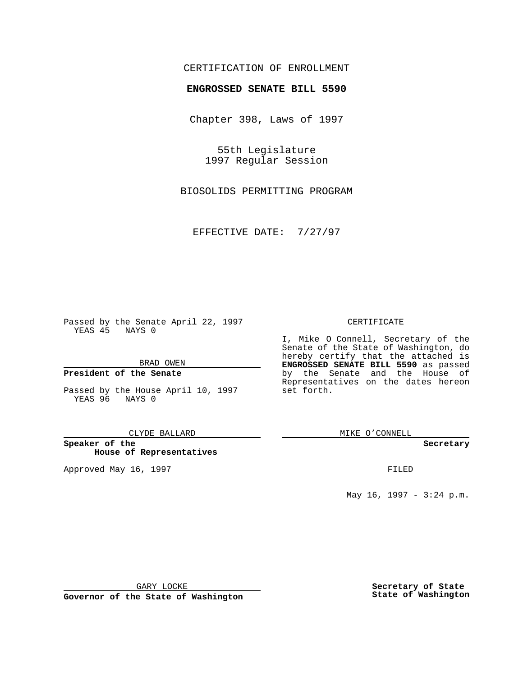# CERTIFICATION OF ENROLLMENT

# **ENGROSSED SENATE BILL 5590**

Chapter 398, Laws of 1997

55th Legislature 1997 Regular Session

BIOSOLIDS PERMITTING PROGRAM

EFFECTIVE DATE: 7/27/97

Passed by the Senate April 22, 1997 YEAS 45 NAYS 0

BRAD OWEN

### **President of the Senate**

Passed by the House April 10, 1997 YEAS 96 NAYS 0

### CLYDE BALLARD

**Speaker of the House of Representatives**

Approved May 16, 1997 **FILED** 

### CERTIFICATE

I, Mike O Connell, Secretary of the Senate of the State of Washington, do hereby certify that the attached is **ENGROSSED SENATE BILL 5590** as passed by the Senate and the House of Representatives on the dates hereon set forth.

MIKE O'CONNELL

### **Secretary**

May 16, 1997 - 3:24 p.m.

GARY LOCKE

**Governor of the State of Washington**

**Secretary of State State of Washington**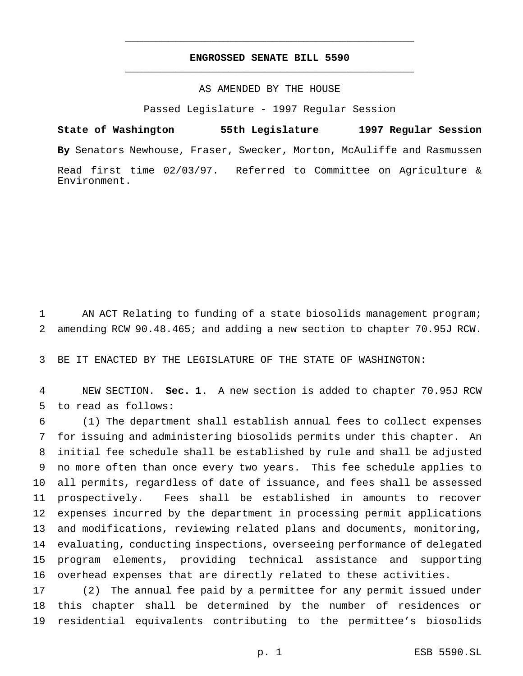# **ENGROSSED SENATE BILL 5590** \_\_\_\_\_\_\_\_\_\_\_\_\_\_\_\_\_\_\_\_\_\_\_\_\_\_\_\_\_\_\_\_\_\_\_\_\_\_\_\_\_\_\_\_\_\_\_

\_\_\_\_\_\_\_\_\_\_\_\_\_\_\_\_\_\_\_\_\_\_\_\_\_\_\_\_\_\_\_\_\_\_\_\_\_\_\_\_\_\_\_\_\_\_\_

## AS AMENDED BY THE HOUSE

Passed Legislature - 1997 Regular Session

**State of Washington 55th Legislature 1997 Regular Session By** Senators Newhouse, Fraser, Swecker, Morton, McAuliffe and Rasmussen Read first time 02/03/97. Referred to Committee on Agriculture & Environment.

 AN ACT Relating to funding of a state biosolids management program; amending RCW 90.48.465; and adding a new section to chapter 70.95J RCW.

BE IT ENACTED BY THE LEGISLATURE OF THE STATE OF WASHINGTON:

 NEW SECTION. **Sec. 1.** A new section is added to chapter 70.95J RCW to read as follows:

 (1) The department shall establish annual fees to collect expenses for issuing and administering biosolids permits under this chapter. An initial fee schedule shall be established by rule and shall be adjusted no more often than once every two years. This fee schedule applies to all permits, regardless of date of issuance, and fees shall be assessed prospectively. Fees shall be established in amounts to recover expenses incurred by the department in processing permit applications and modifications, reviewing related plans and documents, monitoring, evaluating, conducting inspections, overseeing performance of delegated program elements, providing technical assistance and supporting overhead expenses that are directly related to these activities.

 (2) The annual fee paid by a permittee for any permit issued under this chapter shall be determined by the number of residences or residential equivalents contributing to the permittee's biosolids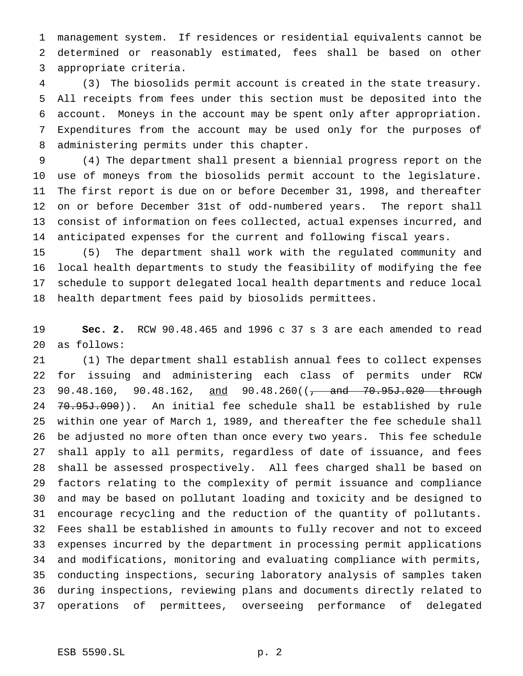management system. If residences or residential equivalents cannot be determined or reasonably estimated, fees shall be based on other appropriate criteria.

 (3) The biosolids permit account is created in the state treasury. All receipts from fees under this section must be deposited into the account. Moneys in the account may be spent only after appropriation. Expenditures from the account may be used only for the purposes of administering permits under this chapter.

 (4) The department shall present a biennial progress report on the use of moneys from the biosolids permit account to the legislature. The first report is due on or before December 31, 1998, and thereafter on or before December 31st of odd-numbered years. The report shall consist of information on fees collected, actual expenses incurred, and anticipated expenses for the current and following fiscal years.

 (5) The department shall work with the regulated community and local health departments to study the feasibility of modifying the fee schedule to support delegated local health departments and reduce local health department fees paid by biosolids permittees.

 **Sec. 2.** RCW 90.48.465 and 1996 c 37 s 3 are each amended to read as follows:

 (1) The department shall establish annual fees to collect expenses for issuing and administering each class of permits under RCW 23 90.48.160, 90.48.162, and 90.48.260((<del>, and 70.95J.020 through</del> 24 70.95J.090)). An initial fee schedule shall be established by rule within one year of March 1, 1989, and thereafter the fee schedule shall be adjusted no more often than once every two years. This fee schedule shall apply to all permits, regardless of date of issuance, and fees shall be assessed prospectively. All fees charged shall be based on factors relating to the complexity of permit issuance and compliance and may be based on pollutant loading and toxicity and be designed to encourage recycling and the reduction of the quantity of pollutants. Fees shall be established in amounts to fully recover and not to exceed expenses incurred by the department in processing permit applications and modifications, monitoring and evaluating compliance with permits, conducting inspections, securing laboratory analysis of samples taken during inspections, reviewing plans and documents directly related to operations of permittees, overseeing performance of delegated